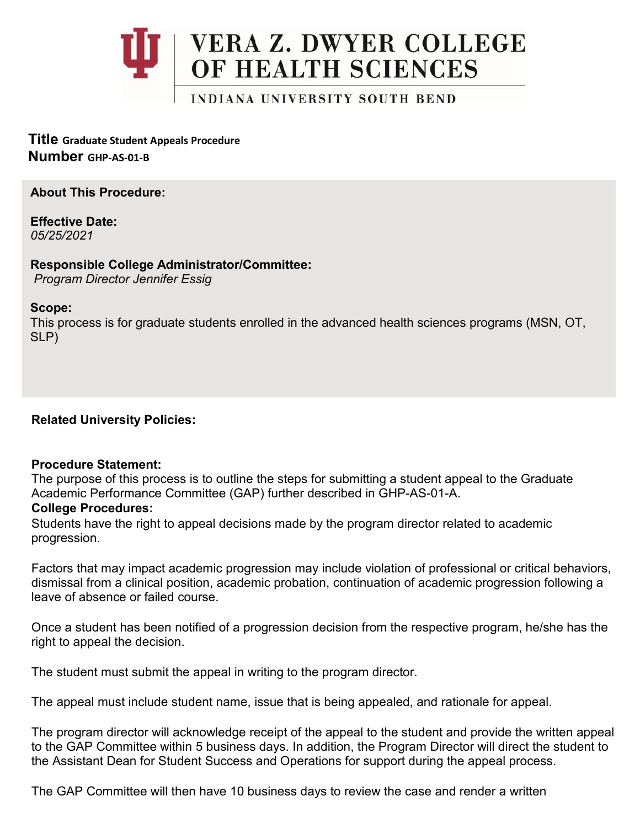

**Title Graduate Student Appeals Procedure Number GHP-AS-01-B**

**About This Procedure:**

**Effective Date:** *05/25/2021*

**Responsible College Administrator/Committee:** *Program Director Jennifer Essig*

## **Scope:**

This process is for graduate students enrolled in the advanced health sciences programs (MSN, OT, SLP)

**Related University Policies:**

## **Procedure Statement:**

The purpose of this process is to outline the steps for submitting a student appeal to the Graduate Academic Performance Committee (GAP) further described in GHP-AS-01-A.

## **College Procedures:**

Students have the right to appeal decisions made by the program director related to academic progression.

Factors that may impact academic progression may include violation of professional or critical behaviors, dismissal from a clinical position, academic probation, continuation of academic progression following a leave of absence or failed course.

Once a student has been notified of a progression decision from the respective program, he/she has the right to appeal the decision.

The student must submit the appeal in writing to the program director.

The appeal must include student name, issue that is being appealed, and rationale for appeal.

The program director will acknowledge receipt of the appeal to the student and provide the written appeal to the GAP Committee within 5 business days. In addition, the Program Director will direct the student to the Assistant Dean for Student Success and Operations for support during the appeal process.

The GAP Committee will then have 10 business days to review the case and render a written